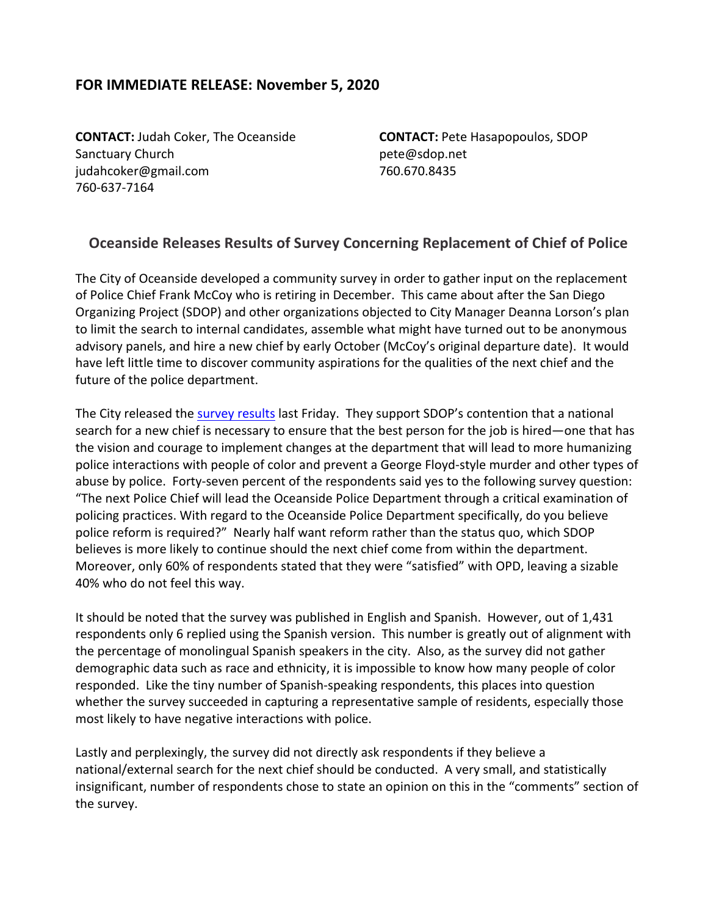## **FOR IMMEDIATE RELEASE: November 5, 2020**

**CONTACT:** Judah Coker, The Oceanside Sanctuary Church judahcoker@gmail.com 760-637-7164

**CONTACT:** Pete Hasapopoulos, SDOP pete@sdop.net 760.670.8435

## **Oceanside Releases Results of Survey Concerning Replacement of Chief of Police**

The City of Oceanside developed a community survey in order to gather input on the replacement of Police Chief Frank McCoy who is retiring in December. This came about after the San Diego Organizing Project (SDOP) and other organizations objected to City Manager Deanna Lorson's plan to limit the search to internal candidates, assemble what might have turned out to be anonymous advisory panels, and hire a new chief by early October (McCoy's original departure date). It would have left little time to discover community aspirations for the qualities of the next chief and the future of the police department.

The City released the survey results last Friday. They support SDOP's contention that a national search for a new chief is necessary to ensure that the best person for the job is hired—one that has the vision and courage to implement changes at the department that will lead to more humanizing police interactions with people of color and prevent a George Floyd-style murder and other types of abuse by police. Forty-seven percent of the respondents said yes to the following survey question: "The next Police Chief will lead the Oceanside Police Department through a critical examination of policing practices. With regard to the Oceanside Police Department specifically, do you believe police reform is required?" Nearly half want reform rather than the status quo, which SDOP believes is more likely to continue should the next chief come from within the department. Moreover, only 60% of respondents stated that they were "satisfied" with OPD, leaving a sizable 40% who do not feel this way.

It should be noted that the survey was published in English and Spanish. However, out of 1,431 respondents only 6 replied using the Spanish version. This number is greatly out of alignment with the percentage of monolingual Spanish speakers in the city. Also, as the survey did not gather demographic data such as race and ethnicity, it is impossible to know how many people of color responded. Like the tiny number of Spanish-speaking respondents, this places into question whether the survey succeeded in capturing a representative sample of residents, especially those most likely to have negative interactions with police.

Lastly and perplexingly, the survey did not directly ask respondents if they believe a national/external search for the next chief should be conducted. A very small, and statistically insignificant, number of respondents chose to state an opinion on this in the "comments" section of the survey.